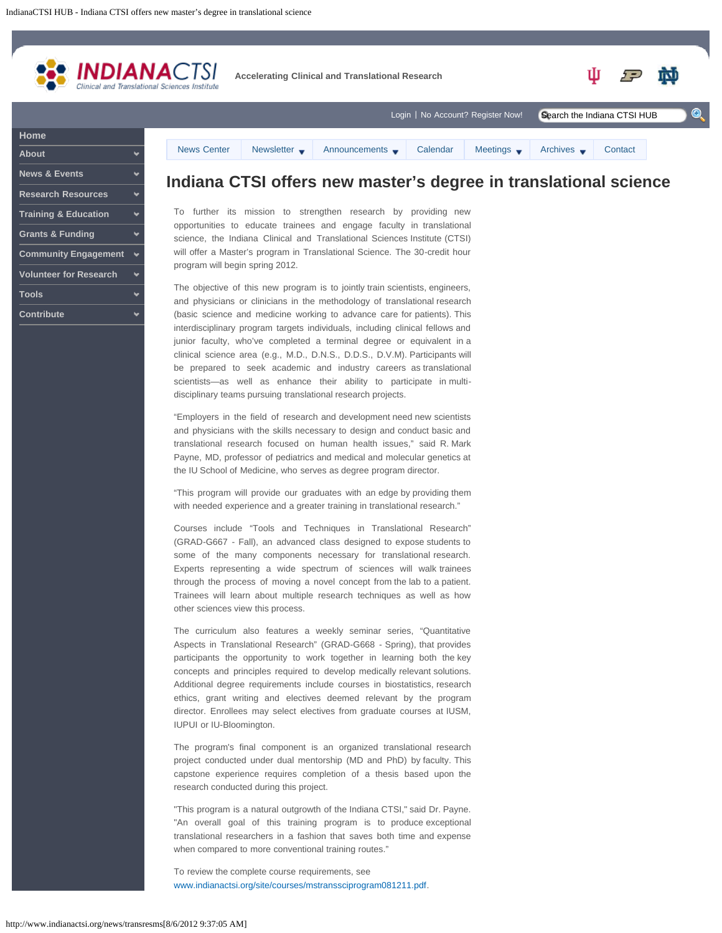<span id="page-0-0"></span>

| <b>About</b>                    |  |
|---------------------------------|--|
| <b>News &amp; Events</b>        |  |
| <b>Research Resources</b>       |  |
| <b>Training &amp; Education</b> |  |
| <b>Grants &amp; Funding</b>     |  |
| <b>Community Engagement</b>     |  |
| <b>Volunteer for Research</b>   |  |
| <b>Tools</b>                    |  |
| <b>Contribute</b>               |  |

## **Indiana CTSI offers new master's degree in translational science**

To further its mission to strengthen research by providing new opportunities to educate trainees and engage faculty in translational science, the Indiana Clinical and Translational Sciences Institute (CTSI) will offer a Master's program in Translational Science. The 30-credit hour program will begin spring 2012.

The objective of this new program is to jointly train scientists, engineers, and physicians or clinicians in the methodology of translational research (basic science and medicine working to advance care for patients). This interdisciplinary program targets individuals, including clinical fellows and junior faculty, who've completed a terminal degree or equivalent in a clinical science area (e.g., M.D., D.N.S., D.D.S., D.V.M). Participants will be prepared to seek academic and industry careers as translational scientists—as well as enhance their ability to participate in multidisciplinary teams pursuing translational research projects.

"Employers in the field of research and development need new scientists and physicians with the skills necessary to design and conduct basic and translational research focused on human health issues," said R. Mark Payne, MD, professor of pediatrics and medical and molecular genetics at the IU School of Medicine, who serves as degree program director.

"This program will provide our graduates with an edge by providing them with needed experience and a greater training in translational research."

Courses include "Tools and Techniques in Translational Research" (GRAD-G667 - Fall), an advanced class designed to expose students to some of the many components necessary for translational research. Experts representing a wide spectrum of sciences will walk trainees through the process of moving a novel concept from the lab to a patient. Trainees will learn about multiple research techniques as well as how other sciences view this process.

The curriculum also features a weekly seminar series, "Quantitative Aspects in Translational Research" (GRAD-G668 - Spring), that provides participants the opportunity to work together in learning both the key concepts and principles required to develop medically relevant solutions. Additional degree requirements include courses in biostatistics, research ethics, grant writing and electives deemed relevant by the program director. Enrollees may select electives from graduate courses at IUSM, IUPUI or IU-Bloomington.

The program's final component is an organized translational research project conducted under dual mentorship (MD and PhD) by faculty. This capstone experience requires completion of a thesis based upon the research conducted during this project.

"This program is a natural outgrowth of the Indiana CTSI," said Dr. Payne. "An overall goal of this training program is to produce exceptional translational researchers in a fashion that saves both time and expense when compared to more conventional training routes."

To review the complete course requirements, see [www.indianactsi.org/site/courses/mstranssciprogram081211.pdf](http://www.indianactsi.org/site/courses/mstranssciprogram081211.pdf).